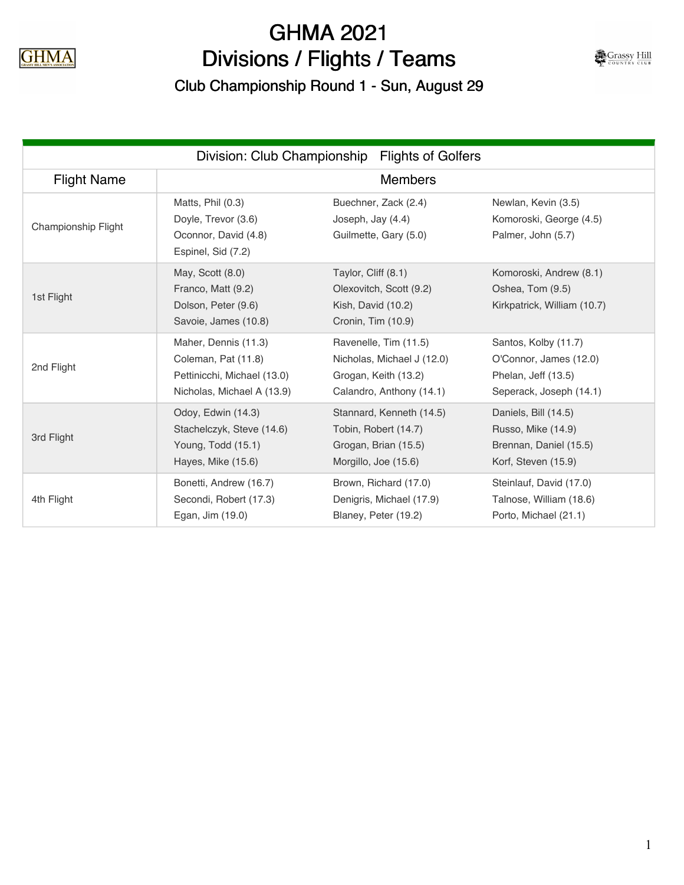

## GHMA 2021 Divisions / Flights / Teams

Club Championship Round 1 - Sun, August 29

| Grassy Hill |  |
|-------------|--|
| OUNTRY      |  |

| Division: Club Championship<br><b>Flights of Golfers</b> |                                                                                                          |                                                                                                         |                                                                                                  |  |  |
|----------------------------------------------------------|----------------------------------------------------------------------------------------------------------|---------------------------------------------------------------------------------------------------------|--------------------------------------------------------------------------------------------------|--|--|
| <b>Flight Name</b>                                       |                                                                                                          | <b>Members</b>                                                                                          |                                                                                                  |  |  |
| Championship Flight                                      | Matts, Phil (0.3)<br>Doyle, Trevor (3.6)<br>Oconnor, David (4.8)<br>Espinel, Sid (7.2)                   | Buechner, Zack (2.4)<br>Joseph, Jay (4.4)<br>Guilmette, Gary (5.0)                                      | Newlan, Kevin (3.5)<br>Komoroski, George (4.5)<br>Palmer, John (5.7)                             |  |  |
| 1st Flight                                               | May, Scott (8.0)<br>Franco, Matt (9.2)<br>Dolson, Peter (9.6)<br>Savoie, James (10.8)                    | Taylor, Cliff (8.1)<br>Olexovitch, Scott (9.2)<br>Kish, David (10.2)<br>Cronin, Tim (10.9)              | Komoroski, Andrew (8.1)<br>Oshea, Tom (9.5)<br>Kirkpatrick, William (10.7)                       |  |  |
| 2nd Flight                                               | Maher, Dennis (11.3)<br>Coleman, Pat (11.8)<br>Pettinicchi, Michael (13.0)<br>Nicholas, Michael A (13.9) | Ravenelle, Tim (11.5)<br>Nicholas, Michael J (12.0)<br>Grogan, Keith (13.2)<br>Calandro, Anthony (14.1) | Santos, Kolby (11.7)<br>O'Connor, James (12.0)<br>Phelan, Jeff (13.5)<br>Seperack, Joseph (14.1) |  |  |
| 3rd Flight                                               | Odoy, Edwin (14.3)<br>Stachelczyk, Steve (14.6)<br>Young, Todd (15.1)<br>Hayes, Mike (15.6)              | Stannard, Kenneth (14.5)<br>Tobin, Robert (14.7)<br>Grogan, Brian (15.5)<br>Morgillo, Joe (15.6)        | Daniels, Bill (14.5)<br>Russo, Mike (14.9)<br>Brennan, Daniel (15.5)<br>Korf, Steven (15.9)      |  |  |
| 4th Flight                                               | Bonetti, Andrew (16.7)<br>Secondi, Robert (17.3)<br>Egan, Jim (19.0)                                     | Brown, Richard (17.0)<br>Denigris, Michael (17.9)<br>Blaney, Peter (19.2)                               | Steinlauf, David (17.0)<br>Talnose, William (18.6)<br>Porto, Michael (21.1)                      |  |  |